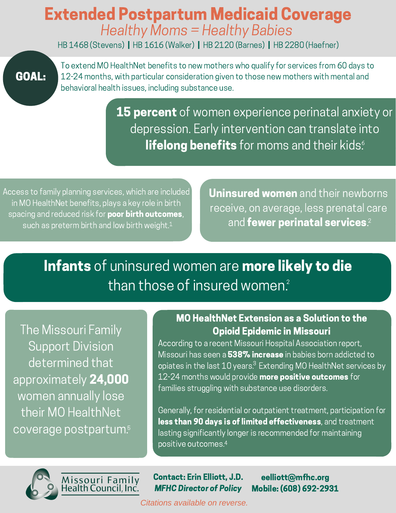## Extended Postpartum Medicaid Coverage Healthy Moms = Healthy Babies

HB 1468 (Stevens) | HB 1616 (Walker) | HB 2120 (Barnes) | HB 2280 (Haefner)

## GOAL:

To extend MO HealthNet benefits to new mothers who qualify for services from 60 days to 12-24 months, with particular consideration given to those new mothers with mental and behavioral health issues, including substance use.

> **15 percent** of women experience perinatal anxiety or depression. Early intervention can translate into **lifelong benefits** for moms and their kids.

Access to family planning services, which are included in MO HealthNet benefits, plays a key role in birth spacing and reduced risk for **poor birth outcomes**, such as preterm birth and low birth weight.<sup>1</sup>

Uninsured women and their newborns receive, on average, less prenatal care  $\frac{1}{1}$  and fewer perinatal services.<sup>2</sup>

Infants of uninsured women are more likely to die than those of insured women. $\epsilon$ 

The Missouri Family Support Division determined that approximately 24,000 women annually lose their MO HealthNet coverage postpartum. 5

### MO HealthNet Extension as a Solution to the Opioid Epidemic in Missouri

According to a recent Missouri Hospital Association report, Missouri has seen a 538% increase in babies born addicted to opiates in the last 10 years. $^3$  Extending MO HealthNet services by 12-24 months would provide more positive outcomes for families struggling with substance use disorders.

Generally, for residential or outpatient treatment, participation for less than 90 days is of limited effectiveness, and treatment lasting significantly longer is recommended for maintaining positive outcomes. 4



Missouri Family<br>Health Council, Inc.

#### Contact: Erin Elliott, J.D. MFHC Director of Policy

eelliott@mfhc.org Mobile: (608) 692-2931

*Citations available on reverse.*